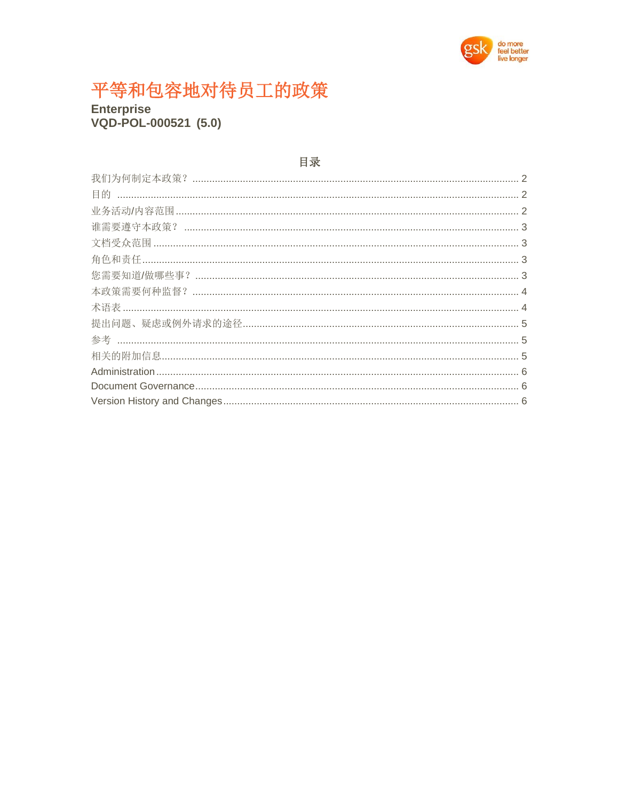

# 平等和包容地对待员工的政策

**Enterprise** VQD-POL-000521 (5.0)

#### 目录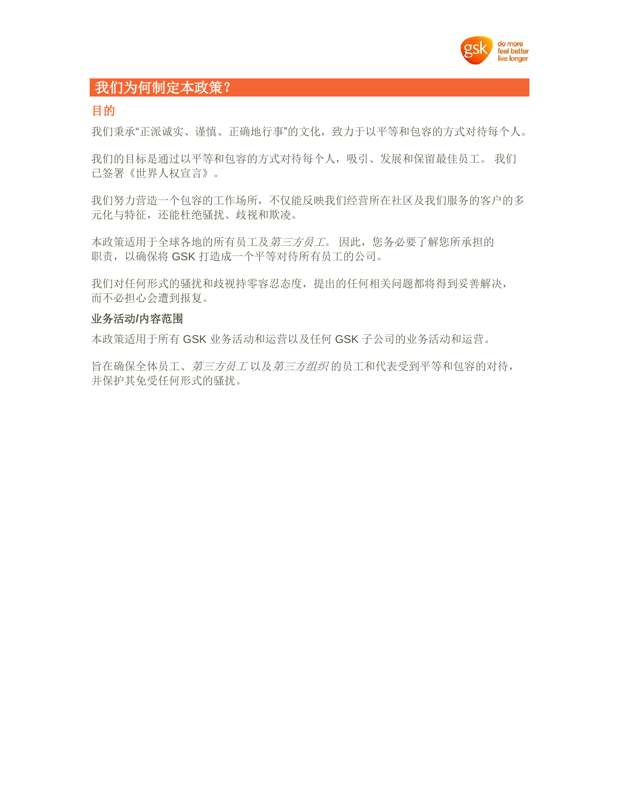

## <span id="page-1-0"></span>我们为何制定本政策?

#### <span id="page-1-1"></span>目的

我们秉承"正派诚实、谨慎、正确地行事"的文化,致力于以平等和包容的方式对待每个人。

我们的目标是通过以平等和包容的方式对待每个人,吸引、发展和保留最佳员工。 我们 已签署《世界人权宣言》。

我们努力营造一个包容的工作场所,不仅能反映我们经营所在社区及我们服务的客户的多 元化与特征,还能杜绝骚扰、歧视和欺凌。

本政策适用于全球各地的所有员工及第三方员工。 因此, 您务必要了解您所承担的 职责,以确保将 GSK 打造成一个平等对待所有员工的公司。

我们对任何形式的骚扰和歧视持零容忍态度,提出的任何相关问题都将得到妥善解决, 而不必担心会遭到报复。

#### <span id="page-1-2"></span>业务活动**/**内容范围

本政策适用于所有 GSK 业务活动和运营以及任何 GSK 子公司的业务活动和运营。

旨在确保全体员工、第三方员工 以及第三方组织 的员工和代表受到平等和包容的对待, 并保护其免受任何形式的骚扰。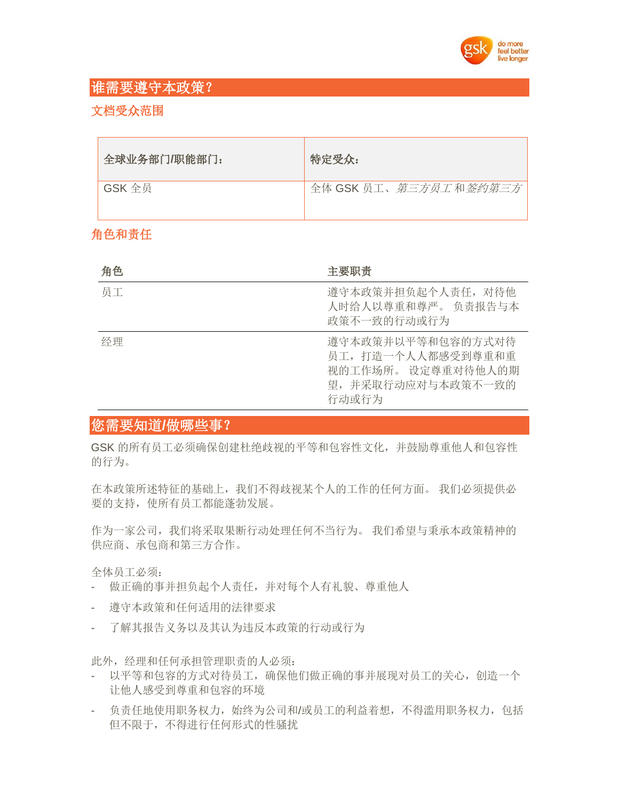

## <span id="page-2-0"></span>谁需要遵守本政策?

#### <span id="page-2-1"></span>文档受众范围

| 全球业务部门/职能部门: | 特定受众:                 |
|--------------|-----------------------|
| GSK 全员       | 全体 GSK 员工、第三方员工和签约第三方 |

## <span id="page-2-2"></span>角色和责任

| 角色 | 主要职责                                                                                      |
|----|-------------------------------------------------------------------------------------------|
| 员工 | 遵守本政策并担负起个人责任, 对待他<br>人时给人以尊重和尊严。 负责报告与本<br>政策不一致的行动或行为                                   |
| 经理 | 遵守本政策并以平等和包容的方式对待<br>员工,打造一个人人都感受到尊重和重<br>视的工作场所。设定尊重对待他人的期<br>望,并采取行动应对与本政策不一致的<br>行动或行为 |

## <span id="page-2-3"></span>您需要知道**/**做哪些事?

GSK 的所有员工必须确保创建杜绝歧视的平等和包容性文化,并鼓励尊重他人和包容性 的行为。

在本政策所述特征的基础上,我们不得歧视某个人的工作的任何方面。 我们必须提供必 要的支持,使所有员工都能蓬勃发展。

作为一家公司,我们将采取果断行动处理任何不当行为。 我们希望与秉承本政策精神的 供应商、承包商和第三方合作。

全体员工必须:

- 做正确的事并担负起个人责任,并对每个人有礼貌、尊重他人
- 遵守本政策和任何适用的法律要求
- 了解其报告义务以及其认为违反本政策的行动或行为

此外,经理和任何承担管理职责的人必须:

- 以平等和包容的方式对待员工,确保他们做正确的事并展现对员工的关心,创造一个 让他人感受到尊重和包容的环境
- 负责任地使用职务权力,始终为公司和/或员工的利益着想,不得滥用职务权力,包括 但不限于,不得进行任何形式的性骚扰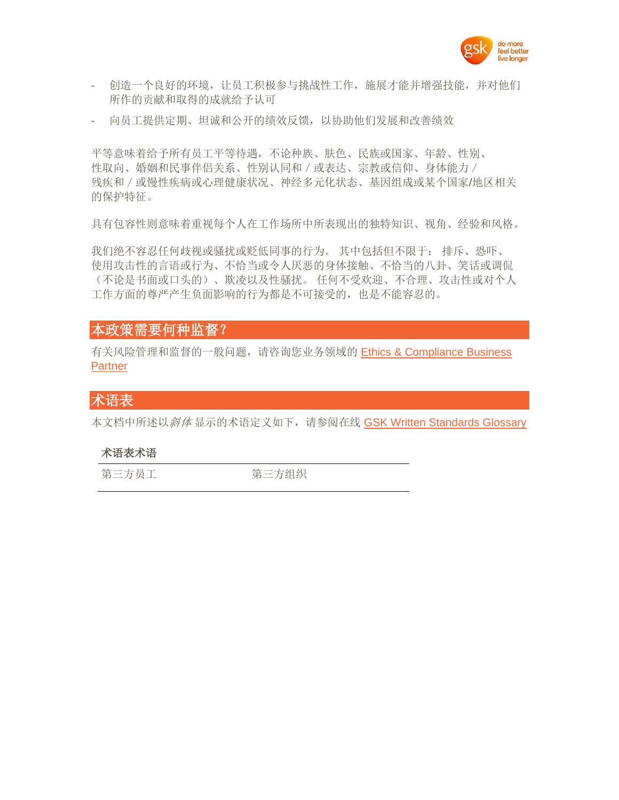

- 创造一个良好的环境,让员工积极参与挑战性工作,施展才能并增强技能,并对他们 所作的贡献和取得的成就给予认可
- 向员工提供定期、坦诚和公开的绩效反馈,以协助他们发展和改善绩效

平等意味着给予所有员工平等待遇,不论种族、肤色、民族或国家、年龄、性别、 性取向、婚姻和民事伴侣关系、性别认同和/或表达、宗教或信仰、身体能力/ 残疾和/或慢性疾病或心理健康状况、神经多元化状态、基因组成或某个国家/地区相关 的保护特征。

具有包容性则意味着重视每个人在工作场所中所表现出的独特知识、视角、经验和风格。

我们绝不容忍任何歧视或骚扰或贬低同事的行为。 其中包括但不限于: 排斥、恐吓、 使用攻击性的言语或行为、不恰当或令人厌恶的身体接触、不恰当的八卦、笑话或调侃 (不论是书面或口头的)、欺凌以及性骚扰。 任何不受欢迎、不合理、攻击性或对个人 工作方面的尊严产生负面影响的行为都是不可接受的,也是不能容忍的。

#### <span id="page-3-0"></span>本政策需要何种监督?

有关风险管理和监督的一般问题,请咨询您业务领域的 [Ethics & Compliance Business](https://myconnect.gsk.com/sites/gea/pages/who%20we%20are.aspx)  **[Partner](https://myconnect.gsk.com/sites/gea/pages/who%20we%20are.aspx)** 

#### <span id="page-3-1"></span>术语表

本文档中所述以*斜体* 显示的术语定义如下, 请参阅在线 [GSK Written Standards Glossary](https://tinyurl.gsk.com/WSGlossary)

#### 术语表术语

第三方员工 第三方组织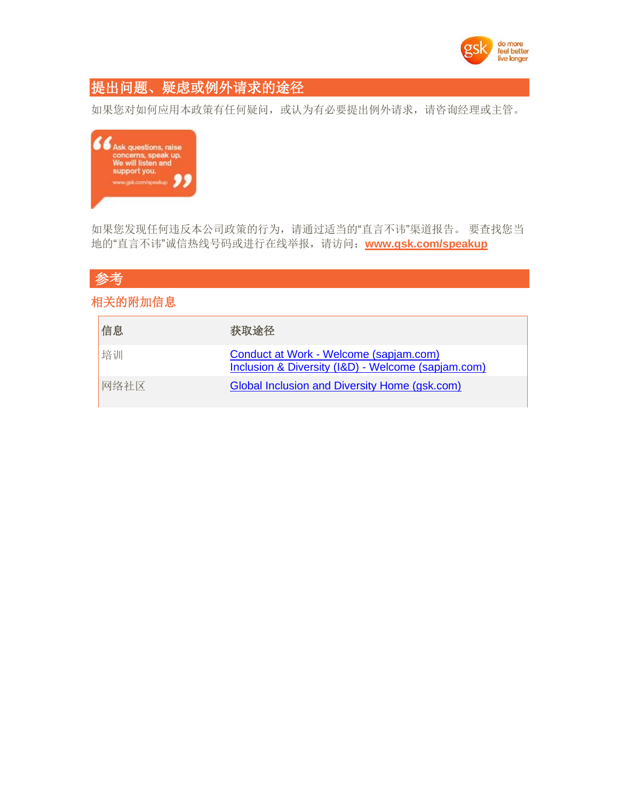

# <span id="page-4-0"></span>提出问题、疑虑或例外请求的途径

如果您对如何应用本政策有任何疑问,或认为有必要提出例外请求,请咨询经理或主管。



如果您发现任何违反本公司政策的行为,请通过适当的"直言不讳"渠道报告。 要查找您当 地的"直言不讳"诚信热线号码或进行在线举报,请访问:**[www.gsk.com/speakup](http://www.gsk.com/speakup)**

# <span id="page-4-1"></span>参考

#### <span id="page-4-2"></span>相关的附加信息

| 信息   | 获取途径                                                                                         |
|------|----------------------------------------------------------------------------------------------|
| 培训   | Conduct at Work - Welcome (sapjam.com)<br>Inclusion & Diversity (I&D) - Welcome (sapjam.com) |
| 网络社区 | Global Inclusion and Diversity Home (gsk.com)                                                |